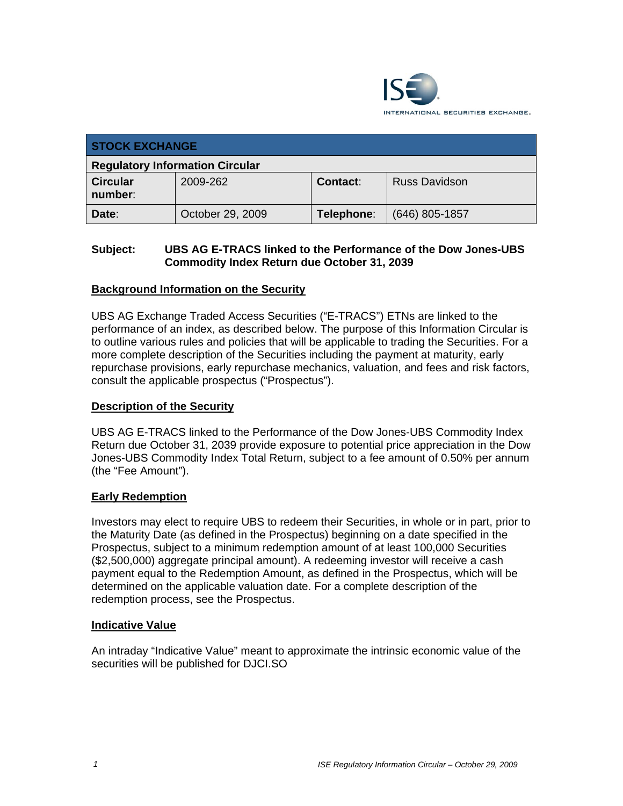

| <b>STOCK EXCHANGE</b>                  |                  |            |                      |  |  |
|----------------------------------------|------------------|------------|----------------------|--|--|
| <b>Regulatory Information Circular</b> |                  |            |                      |  |  |
| <b>Circular</b><br>number:             | 2009-262         | Contact:   | <b>Russ Davidson</b> |  |  |
| Date:                                  | October 29, 2009 | Telephone: | $(646)$ 805-1857     |  |  |

## **Subject: UBS AG E-TRACS linked to the Performance of the Dow Jones-UBS Commodity Index Return due October 31, 2039**

## **Background Information on the Security**

UBS AG Exchange Traded Access Securities ("E-TRACS") ETNs are linked to the performance of an index, as described below. The purpose of this Information Circular is to outline various rules and policies that will be applicable to trading the Securities. For a more complete description of the Securities including the payment at maturity, early repurchase provisions, early repurchase mechanics, valuation, and fees and risk factors, consult the applicable prospectus ("Prospectus").

### **Description of the Security**

UBS AG E-TRACS linked to the Performance of the Dow Jones-UBS Commodity Index Return due October 31, 2039 provide exposure to potential price appreciation in the Dow Jones-UBS Commodity Index Total Return, subject to a fee amount of 0.50% per annum (the "Fee Amount").

### **Early Redemption**

Investors may elect to require UBS to redeem their Securities, in whole or in part, prior to the Maturity Date (as defined in the Prospectus) beginning on a date specified in the Prospectus, subject to a minimum redemption amount of at least 100,000 Securities (\$2,500,000) aggregate principal amount). A redeeming investor will receive a cash payment equal to the Redemption Amount, as defined in the Prospectus, which will be determined on the applicable valuation date. For a complete description of the redemption process, see the Prospectus.

### **Indicative Value**

An intraday "Indicative Value" meant to approximate the intrinsic economic value of the securities will be published for DJCI.SO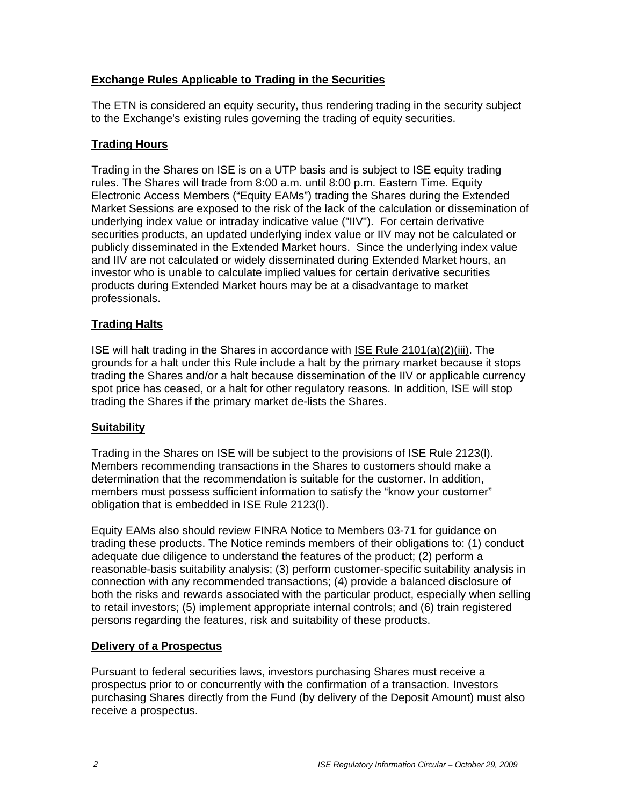## **Exchange Rules Applicable to Trading in the Securities**

The ETN is considered an equity security, thus rendering trading in the security subject to the Exchange's existing rules governing the trading of equity securities.

## **Trading Hours**

Trading in the Shares on ISE is on a UTP basis and is subject to ISE equity trading rules. The Shares will trade from 8:00 a.m. until 8:00 p.m. Eastern Time. Equity Electronic Access Members ("Equity EAMs") trading the Shares during the Extended Market Sessions are exposed to the risk of the lack of the calculation or dissemination of underlying index value or intraday indicative value ("IIV"). For certain derivative securities products, an updated underlying index value or IIV may not be calculated or publicly disseminated in the Extended Market hours. Since the underlying index value and IIV are not calculated or widely disseminated during Extended Market hours, an investor who is unable to calculate implied values for certain derivative securities products during Extended Market hours may be at a disadvantage to market professionals.

## **Trading Halts**

ISE will halt trading in the Shares in accordance with ISE Rule 2101(a)(2)(iii). The grounds for a halt under this Rule include a halt by the primary market because it stops trading the Shares and/or a halt because dissemination of the IIV or applicable currency spot price has ceased, or a halt for other regulatory reasons. In addition, ISE will stop trading the Shares if the primary market de-lists the Shares.

### **Suitability**

Trading in the Shares on ISE will be subject to the provisions of ISE Rule 2123(l). Members recommending transactions in the Shares to customers should make a determination that the recommendation is suitable for the customer. In addition, members must possess sufficient information to satisfy the "know your customer" obligation that is embedded in ISE Rule 2123(l).

Equity EAMs also should review FINRA Notice to Members 03-71 for guidance on trading these products. The Notice reminds members of their obligations to: (1) conduct adequate due diligence to understand the features of the product; (2) perform a reasonable-basis suitability analysis; (3) perform customer-specific suitability analysis in connection with any recommended transactions; (4) provide a balanced disclosure of both the risks and rewards associated with the particular product, especially when selling to retail investors; (5) implement appropriate internal controls; and (6) train registered persons regarding the features, risk and suitability of these products.

### **Delivery of a Prospectus**

Pursuant to federal securities laws, investors purchasing Shares must receive a prospectus prior to or concurrently with the confirmation of a transaction. Investors purchasing Shares directly from the Fund (by delivery of the Deposit Amount) must also receive a prospectus.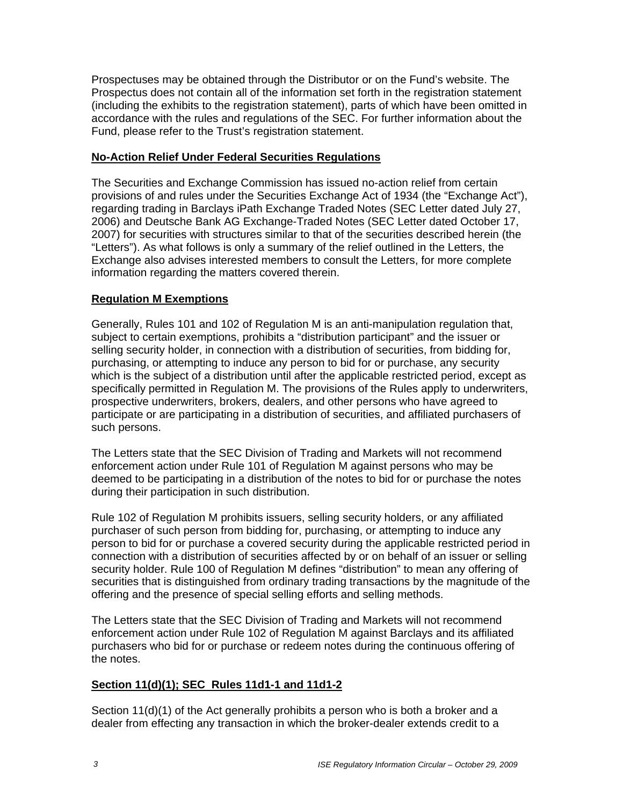Prospectuses may be obtained through the Distributor or on the Fund's website. The Prospectus does not contain all of the information set forth in the registration statement (including the exhibits to the registration statement), parts of which have been omitted in accordance with the rules and regulations of the SEC. For further information about the Fund, please refer to the Trust's registration statement.

### **No-Action Relief Under Federal Securities Regulations**

The Securities and Exchange Commission has issued no-action relief from certain provisions of and rules under the Securities Exchange Act of 1934 (the "Exchange Act"), regarding trading in Barclays iPath Exchange Traded Notes (SEC Letter dated July 27, 2006) and Deutsche Bank AG Exchange-Traded Notes (SEC Letter dated October 17, 2007) for securities with structures similar to that of the securities described herein (the "Letters"). As what follows is only a summary of the relief outlined in the Letters, the Exchange also advises interested members to consult the Letters, for more complete information regarding the matters covered therein.

# **Regulation M Exemptions**

Generally, Rules 101 and 102 of Regulation M is an anti-manipulation regulation that, subject to certain exemptions, prohibits a "distribution participant" and the issuer or selling security holder, in connection with a distribution of securities, from bidding for, purchasing, or attempting to induce any person to bid for or purchase, any security which is the subject of a distribution until after the applicable restricted period, except as specifically permitted in Regulation M. The provisions of the Rules apply to underwriters, prospective underwriters, brokers, dealers, and other persons who have agreed to participate or are participating in a distribution of securities, and affiliated purchasers of such persons.

The Letters state that the SEC Division of Trading and Markets will not recommend enforcement action under Rule 101 of Regulation M against persons who may be deemed to be participating in a distribution of the notes to bid for or purchase the notes during their participation in such distribution.

Rule 102 of Regulation M prohibits issuers, selling security holders, or any affiliated purchaser of such person from bidding for, purchasing, or attempting to induce any person to bid for or purchase a covered security during the applicable restricted period in connection with a distribution of securities affected by or on behalf of an issuer or selling security holder. Rule 100 of Regulation M defines "distribution" to mean any offering of securities that is distinguished from ordinary trading transactions by the magnitude of the offering and the presence of special selling efforts and selling methods.

The Letters state that the SEC Division of Trading and Markets will not recommend enforcement action under Rule 102 of Regulation M against Barclays and its affiliated purchasers who bid for or purchase or redeem notes during the continuous offering of the notes.

# **Section 11(d)(1); SEC Rules 11d1-1 and 11d1-2**

Section 11(d)(1) of the Act generally prohibits a person who is both a broker and a dealer from effecting any transaction in which the broker-dealer extends credit to a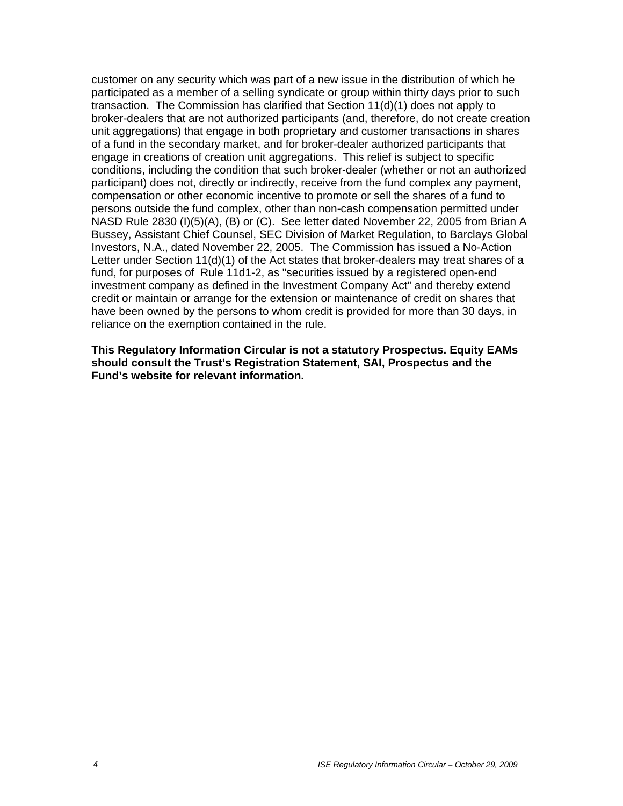customer on any security which was part of a new issue in the distribution of which he participated as a member of a selling syndicate or group within thirty days prior to such transaction. The Commission has clarified that Section 11(d)(1) does not apply to broker-dealers that are not authorized participants (and, therefore, do not create creation unit aggregations) that engage in both proprietary and customer transactions in shares of a fund in the secondary market, and for broker-dealer authorized participants that engage in creations of creation unit aggregations. This relief is subject to specific conditions, including the condition that such broker-dealer (whether or not an authorized participant) does not, directly or indirectly, receive from the fund complex any payment, compensation or other economic incentive to promote or sell the shares of a fund to persons outside the fund complex, other than non-cash compensation permitted under NASD Rule 2830 (I)(5)(A), (B) or (C). See letter dated November 22, 2005 from Brian A Bussey, Assistant Chief Counsel, SEC Division of Market Regulation, to Barclays Global Investors, N.A., dated November 22, 2005. The Commission has issued a No-Action Letter under Section 11(d)(1) of the Act states that broker-dealers may treat shares of a fund, for purposes of Rule 11d1-2, as "securities issued by a registered open-end investment company as defined in the Investment Company Act" and thereby extend credit or maintain or arrange for the extension or maintenance of credit on shares that have been owned by the persons to whom credit is provided for more than 30 days, in reliance on the exemption contained in the rule.

**This Regulatory Information Circular is not a statutory Prospectus. Equity EAMs should consult the Trust's Registration Statement, SAI, Prospectus and the Fund's website for relevant information.**